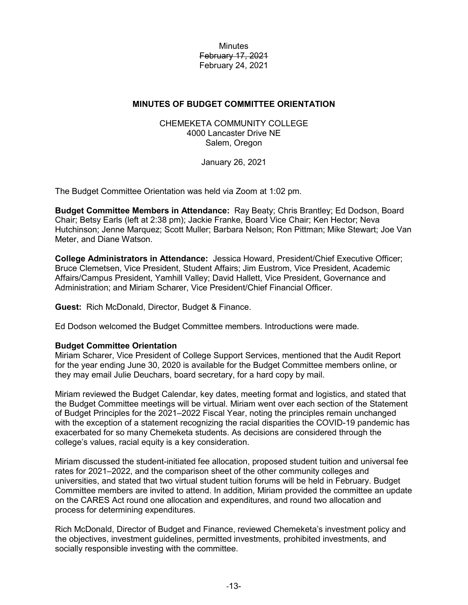**Minutes** February 17, 2021 February 24, 2021

## **MINUTES OF BUDGET COMMITTEE ORIENTATION**

CHEMEKETA COMMUNITY COLLEGE 4000 Lancaster Drive NE Salem, Oregon

January 26, 2021

The Budget Committee Orientation was held via Zoom at 1:02 pm.

**Budget Committee Members in Attendance:** Ray Beaty; Chris Brantley; Ed Dodson, Board Chair; Betsy Earls (left at 2:38 pm); Jackie Franke, Board Vice Chair; Ken Hector; Neva Hutchinson; Jenne Marquez; Scott Muller; Barbara Nelson; Ron Pittman; Mike Stewart; Joe Van Meter, and Diane Watson.

**College Administrators in Attendance:** Jessica Howard, President/Chief Executive Officer; Bruce Clemetsen, Vice President, Student Affairs; Jim Eustrom, Vice President, Academic Affairs/Campus President, Yamhill Valley; David Hallett, Vice President, Governance and Administration; and Miriam Scharer, Vice President/Chief Financial Officer.

**Guest:** Rich McDonald, Director, Budget & Finance.

Ed Dodson welcomed the Budget Committee members. Introductions were made.

## **Budget Committee Orientation**

Miriam Scharer, Vice President of College Support Services, mentioned that the Audit Report for the year ending June 30, 2020 is available for the Budget Committee members online, or they may email Julie Deuchars, board secretary, for a hard copy by mail.

Miriam reviewed the Budget Calendar, key dates, meeting format and logistics, and stated that the Budget Committee meetings will be virtual. Miriam went over each section of the Statement of Budget Principles for the 2021–2022 Fiscal Year, noting the principles remain unchanged with the exception of a statement recognizing the racial disparities the COVID-19 pandemic has exacerbated for so many Chemeketa students. As decisions are considered through the college's values, racial equity is a key consideration.

Miriam discussed the student-initiated fee allocation, proposed student tuition and universal fee rates for 2021–2022, and the comparison sheet of the other community colleges and universities, and stated that two virtual student tuition forums will be held in February. Budget Committee members are invited to attend. In addition, Miriam provided the committee an update on the CARES Act round one allocation and expenditures, and round two allocation and process for determining expenditures.

Rich McDonald, Director of Budget and Finance, reviewed Chemeketa's investment policy and the objectives, investment guidelines, permitted investments, prohibited investments, and socially responsible investing with the committee.